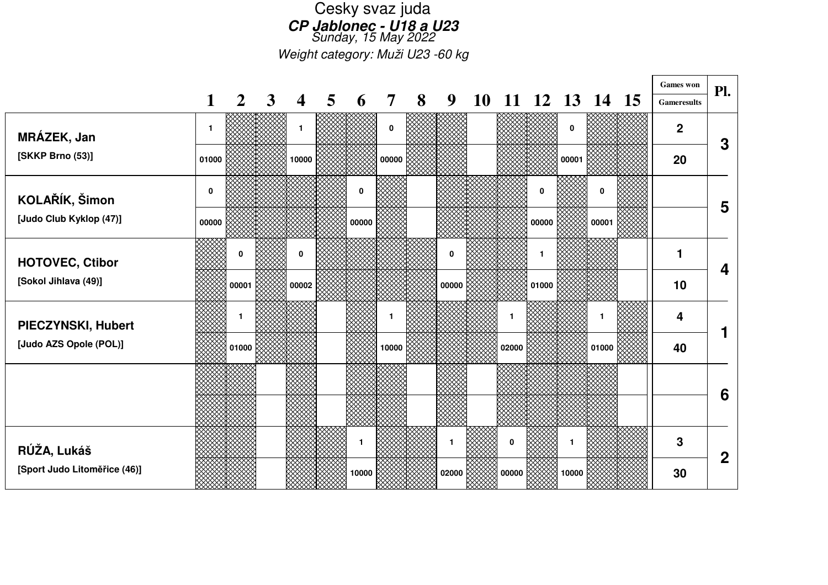## Cesky svaz juda **CP Jablonec - U18 a U23**Sunday, 15 May 2022

Weight category: Muži U23 -60 kg

 $\Gamma$ 

|                              |              |       |   |                         |   |       |                |   |       |           |       |          |              |              | <b>Games</b> won   | Pl.              |
|------------------------------|--------------|-------|---|-------------------------|---|-------|----------------|---|-------|-----------|-------|----------|--------------|--------------|--------------------|------------------|
|                              | 1            | 2     | 3 | $\overline{\mathbf{4}}$ | 5 | 6     | $\overline{7}$ | 8 | 9     | <b>10</b> |       | 11 12 13 |              | 14 15        | <b>Gameresults</b> |                  |
| MRÁZEK, Jan                  | $\mathbf{1}$ |       |   |                         |   |       | 0              |   |       |           |       |          | $\mathbf 0$  |              | $\overline{2}$     | 3                |
| [SKKP Brno (53)]             | 01000        |       |   | 10000                   |   |       | 00000          |   |       |           |       |          | 00001        |              | 20                 |                  |
| KOLAŘÍK, Šimon               | $\mathbf 0$  |       |   |                         |   | 0     |                |   |       |           |       | 0        |              | 0            |                    | 5                |
| [Judo Club Kyklop (47)]      | 00000        |       |   |                         |   | 00000 |                |   |       |           |       | 00000    |              | 00001        |                    |                  |
| <b>HOTOVEC, Ctibor</b>       |              | 0     |   | 0                       |   |       |                |   | 0     |           |       | 1        |              |              | 1                  |                  |
| [Sokol Jihlava (49)]         |              | 00001 |   | 00002                   |   |       |                |   | 00000 |           |       | 01000    |              |              | 10                 | 4                |
| PIECZYNSKI, Hubert           |              |       |   |                         |   |       |                |   |       |           |       |          |              | $\mathbf{1}$ | 4                  |                  |
| [Judo AZS Opole (POL)]       |              | 01000 |   |                         |   |       | 10000          |   |       |           | 02000 |          |              | 01000        | 40                 |                  |
|                              |              |       |   |                         |   |       |                |   |       |           |       |          |              |              |                    |                  |
|                              |              |       |   |                         |   |       |                |   |       |           |       |          |              |              |                    | 6                |
| RÚŽA, Lukáš                  |              |       |   |                         |   | -1    |                |   | 1     |           | 0     |          | $\mathbf{1}$ |              | 3                  |                  |
| [Sport Judo Litoměřice (46)] |              |       |   |                         |   | 10000 |                |   | 02000 |           | 00000 |          | 10000        |              | 30                 | $\boldsymbol{2}$ |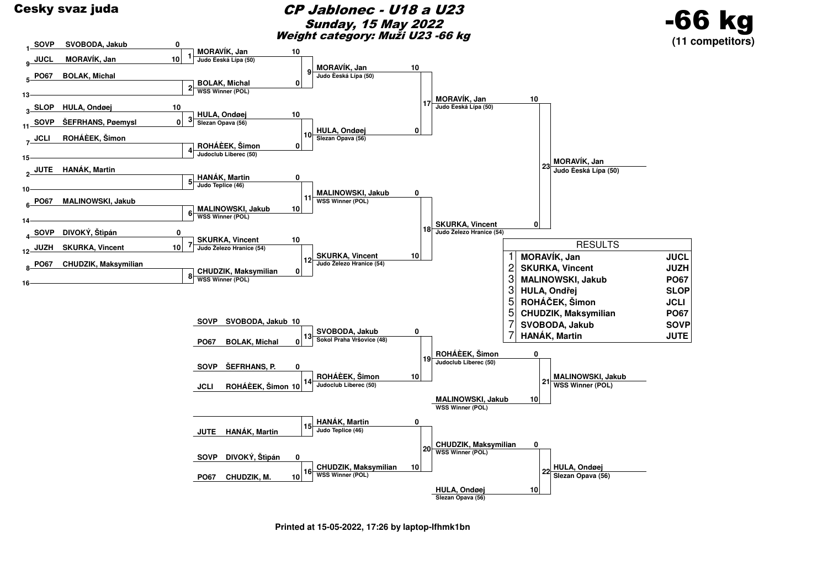

**Printed at 15-05-2022, 17:26 by laptop-lfhmk1bn**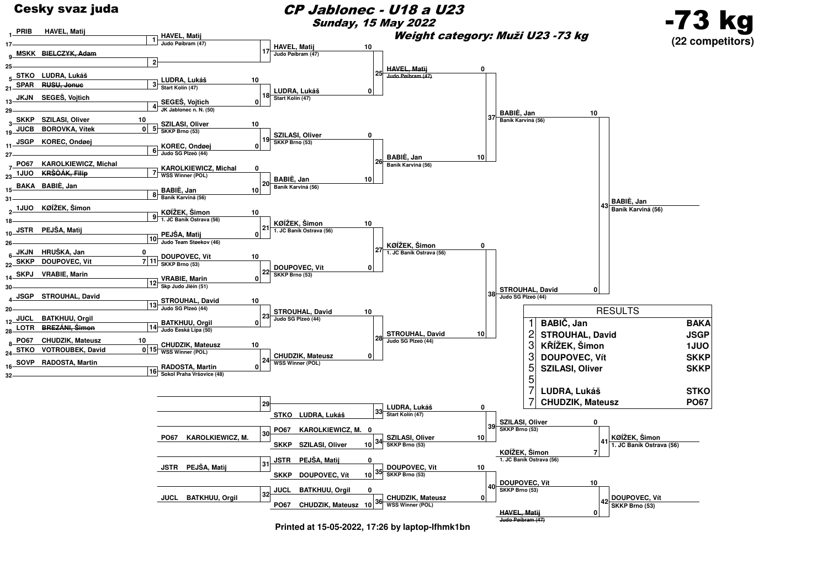

## CP Jablonec - U18 a U23Sunday, 15 May 2022





**Printed at 15-05-2022, 17:26 by laptop-lfhmk1bn**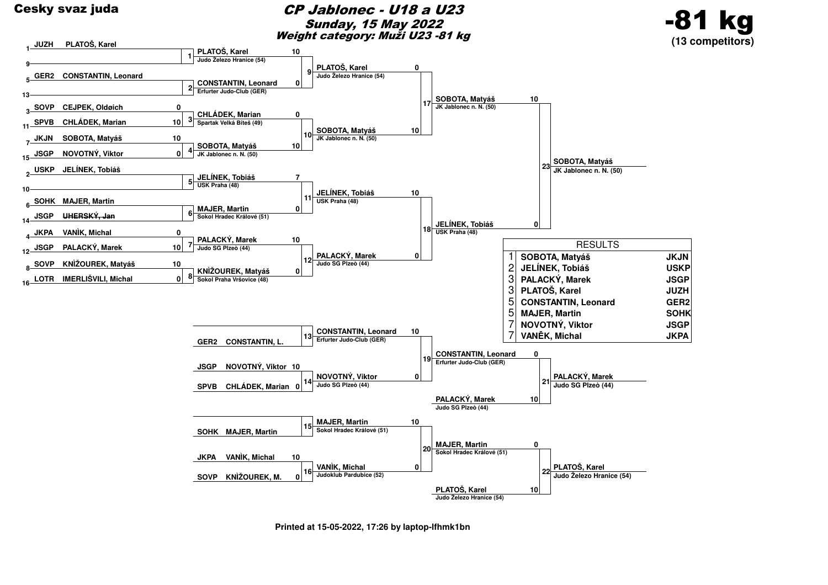

## CP Jablonec - U18 a U23Sunday, 15 May 2022Weight category: Muži U23 -81 kg





**Printed at 15-05-2022, 17:26 by laptop-lfhmk1bn**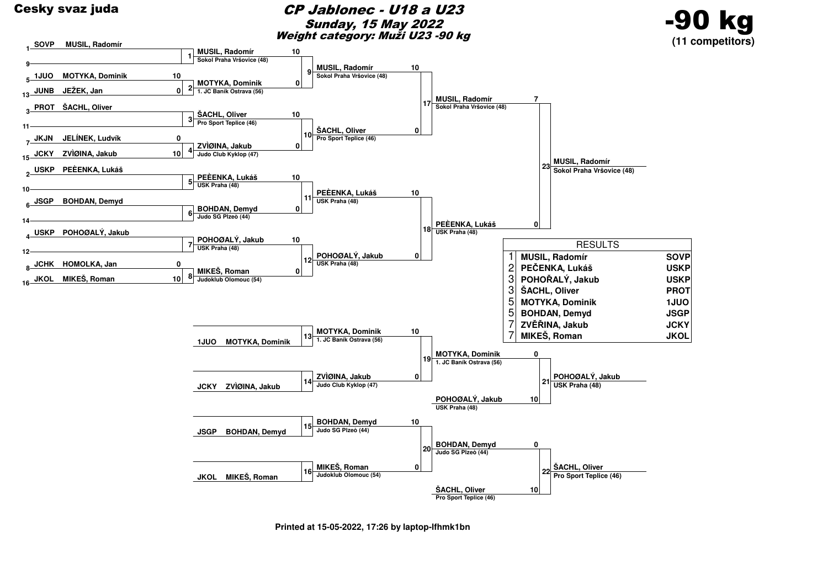

## CP Jablonec - U18 a U23Sunday, 15 May 2022Weight category: Muži U23 -90 kg





**Printed at 15-05-2022, 17:26 by laptop-lfhmk1bn**